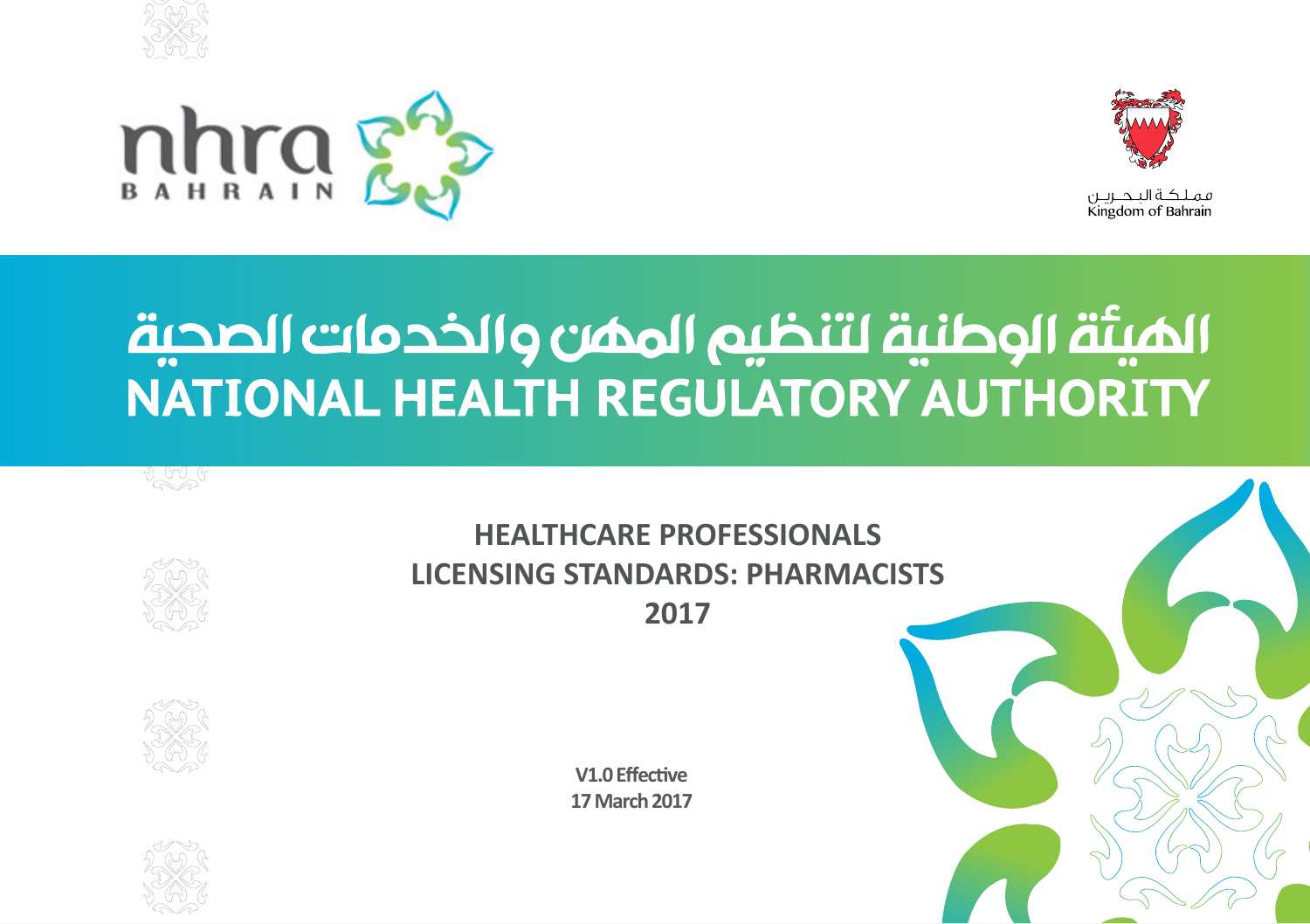





فملكة التحيريين Kingdom of Bahrain

Healthcare Professional Licensing Standards: PHARMACISTS 2017 1

 $\overline{\phantom{a}}$  Short Guide For Company in the set of  $\overline{\phantom{a}}$ 

# الميئة الوطنية لتنظيم الممن والخدمات الصحية NATIONAL HEALTH REGULATORY AUTHORITY



**HEALTHCARE PROFESSIONALS HEALTHCARE PROFESSIONALS LICENSING STANDARDS: PHARMACISTS 2017 2017**



**V1.0 Effective 17 March 2017**

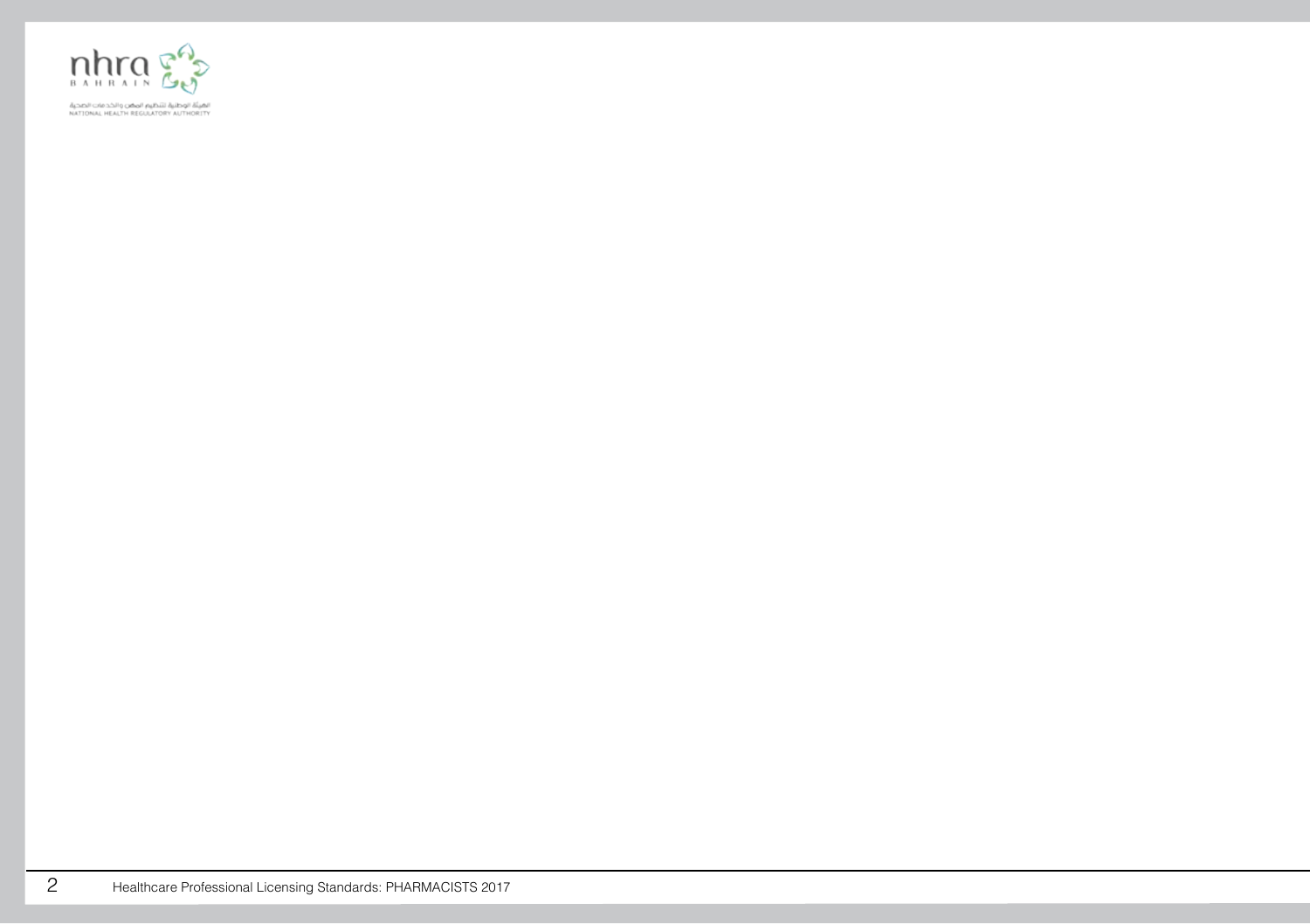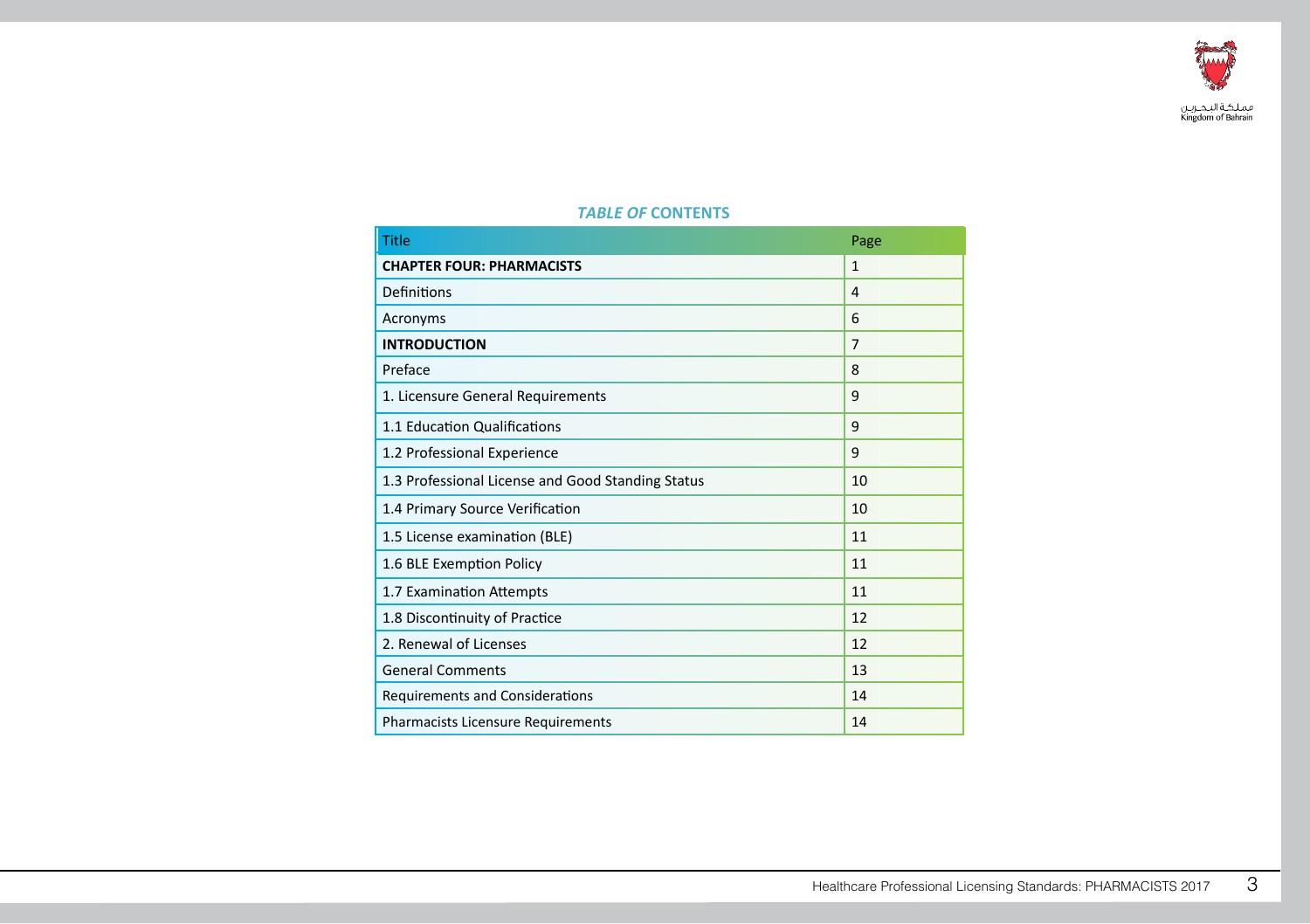

| <b>Title</b>                                      | Page         |
|---------------------------------------------------|--------------|
| <b>CHAPTER FOUR: PHARMACISTS</b>                  | $\mathbf{1}$ |
| Definitions                                       | 4            |
| Acronyms                                          | 6            |
| <b>INTRODUCTION</b>                               | 7            |
| Preface                                           | 8            |
| 1. Licensure General Requirements                 | 9            |
| 1.1 Education Qualifications                      | 9            |
| 1.2 Professional Experience                       | 9            |
| 1.3 Professional License and Good Standing Status | 10           |
| 1.4 Primary Source Verification                   | 10           |
| 1.5 License examination (BLE)                     | 11           |
| 1.6 BLE Exemption Policy                          | 11           |
| 1.7 Examination Attempts                          | 11           |
| 1.8 Discontinuity of Practice                     | 12           |
| 2. Renewal of Licenses                            | 12           |
| <b>General Comments</b>                           | 13           |
| Requirements and Considerations                   | 14           |
| Pharmacists Licensure Requirements                | 14           |

#### *TABLE OF* **CONTENTS**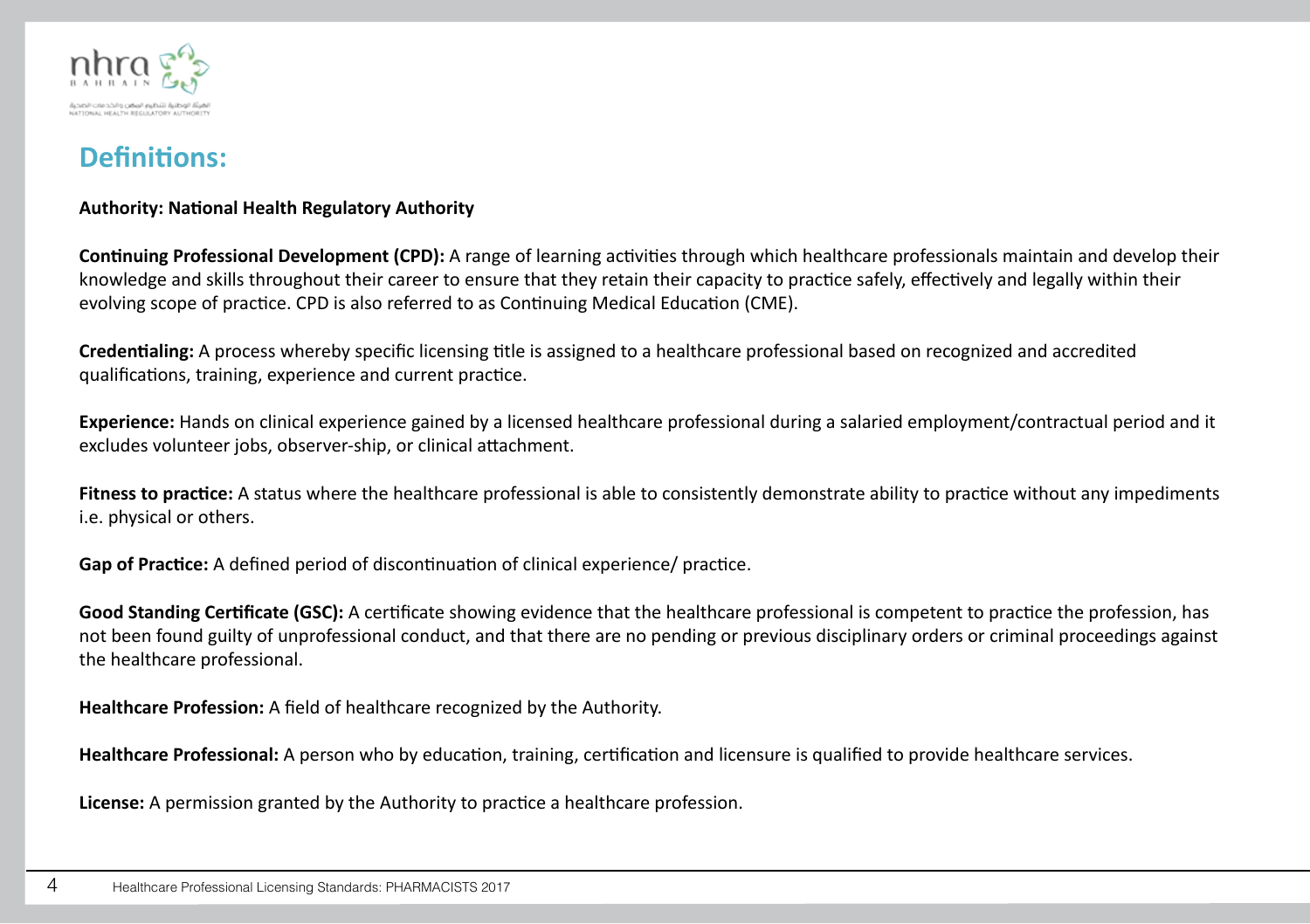

## **Definitions:**

#### **Authority: National Health Regulatory Authority**

**Continuing Professional Development (CPD):** A range of learning activities through which healthcare professionals maintain and develop their knowledge and skills throughout their career to ensure that they retain their capacity to practice safely, effectively and legally within their evolving scope of practice. CPD is also referred to as Continuing Medical Education (CME).

**Credentialing:** A process whereby specific licensing title is assigned to a healthcare professional based on recognized and accredited qualifications, training, experience and current practice.

**Experience:** Hands on clinical experience gained by a licensed healthcare professional during a salaried employment/contractual period and it excludes volunteer jobs, observer-ship, or clinical attachment.

**Fitness to practice:** A status where the healthcare professional is able to consistently demonstrate ability to practice without any impediments i.e. physical or others.

**Gap of Practice:** A defined period of discontinuation of clinical experience/ practice.

**Good Standing Certificate (GSC):** A certificate showing evidence that the healthcare professional is competent to practice the profession, has not been found guilty of unprofessional conduct, and that there are no pending or previous disciplinary orders or criminal proceedings against the healthcare professional.

**Healthcare Profession:** A field of healthcare recognized by the Authority.

**Healthcare Professional:** A person who by education, training, certification and licensure is qualified to provide healthcare services.

**License:** A permission granted by the Authority to practice a healthcare profession.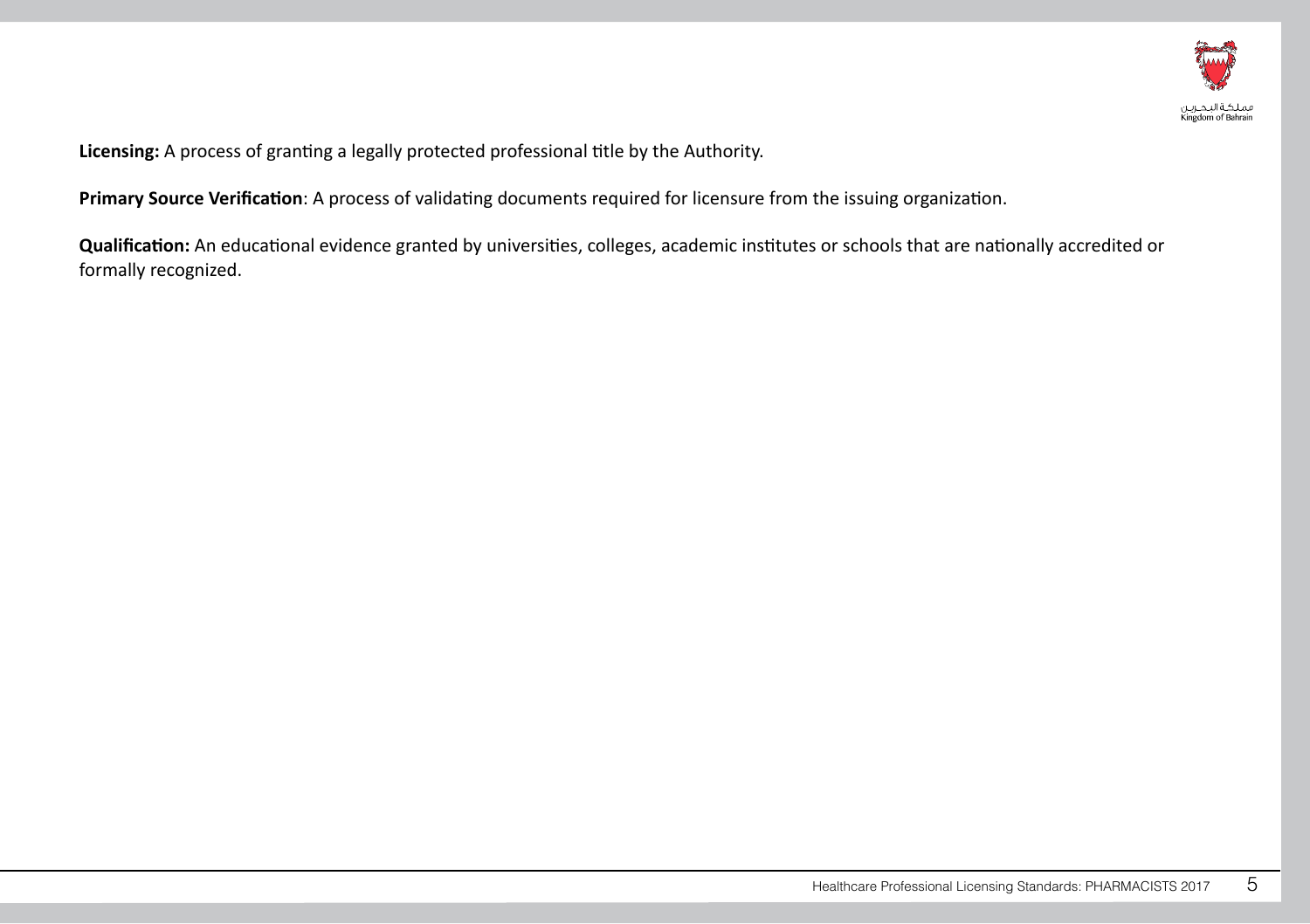

**Licensing:** A process of granting a legally protected professional title by the Authority.

**Primary Source Verification**: A process of validating documents required for licensure from the issuing organization.

**Qualification:** An educational evidence granted by universities, colleges, academic institutes or schools that are nationally accredited or formally recognized.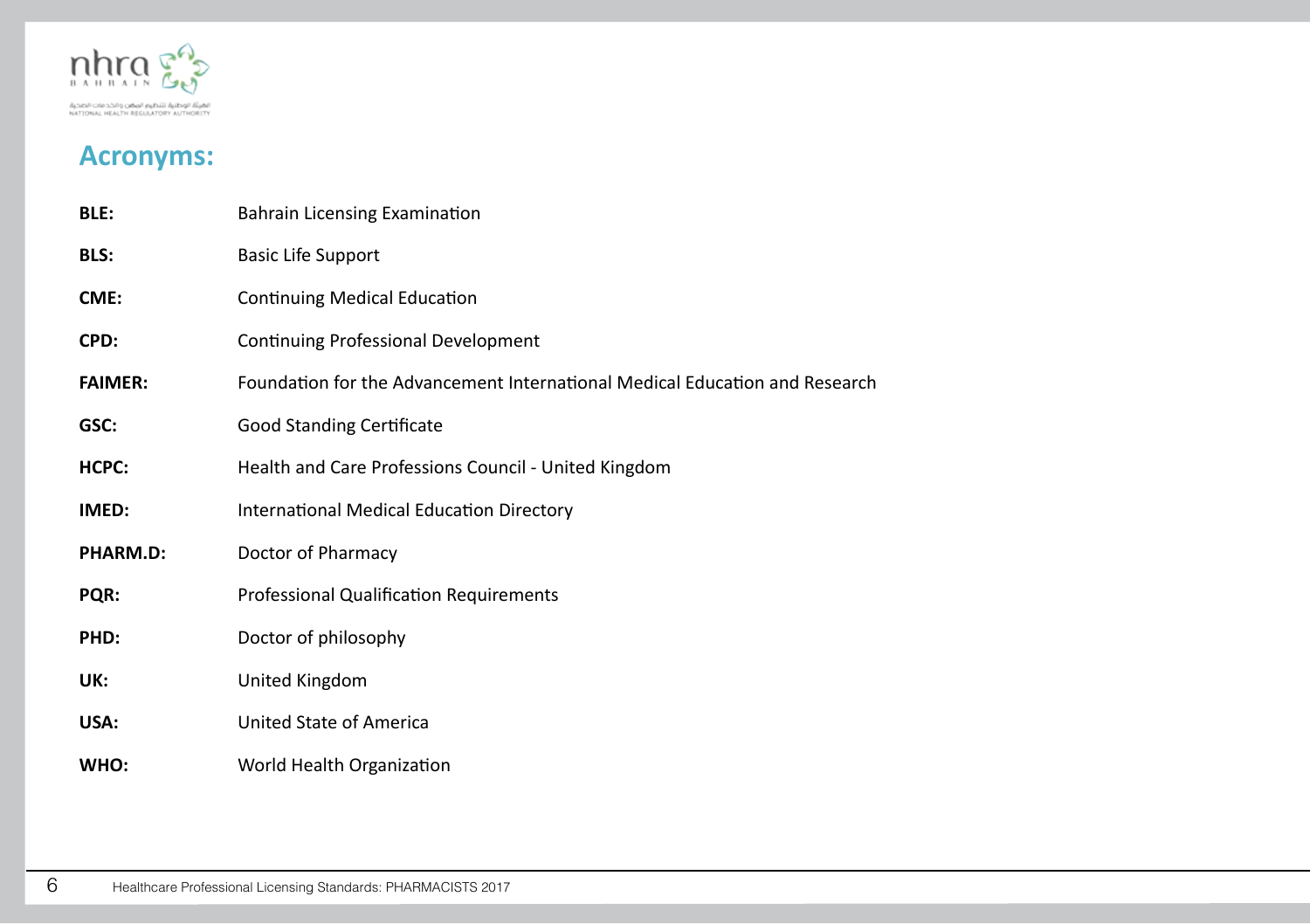

# **Acronyms:**

| BLE:           | Bahrain Licensing Examination                                               |
|----------------|-----------------------------------------------------------------------------|
| BLS:           | <b>Basic Life Support</b>                                                   |
| CME:           | Continuing Medical Education                                                |
| CPD:           | <b>Continuing Professional Development</b>                                  |
| <b>FAIMER:</b> | Foundation for the Advancement International Medical Education and Research |
| GSC:           | <b>Good Standing Certificate</b>                                            |
| HCPC:          | Health and Care Professions Council - United Kingdom                        |
| IMED:          | International Medical Education Directory                                   |
| PHARM.D:       | Doctor of Pharmacy                                                          |
| PQR:           | <b>Professional Qualification Requirements</b>                              |
| PHD:           | Doctor of philosophy                                                        |
| UK:            | United Kingdom                                                              |
| USA:           | United State of America                                                     |
| WHO:           | World Health Organization                                                   |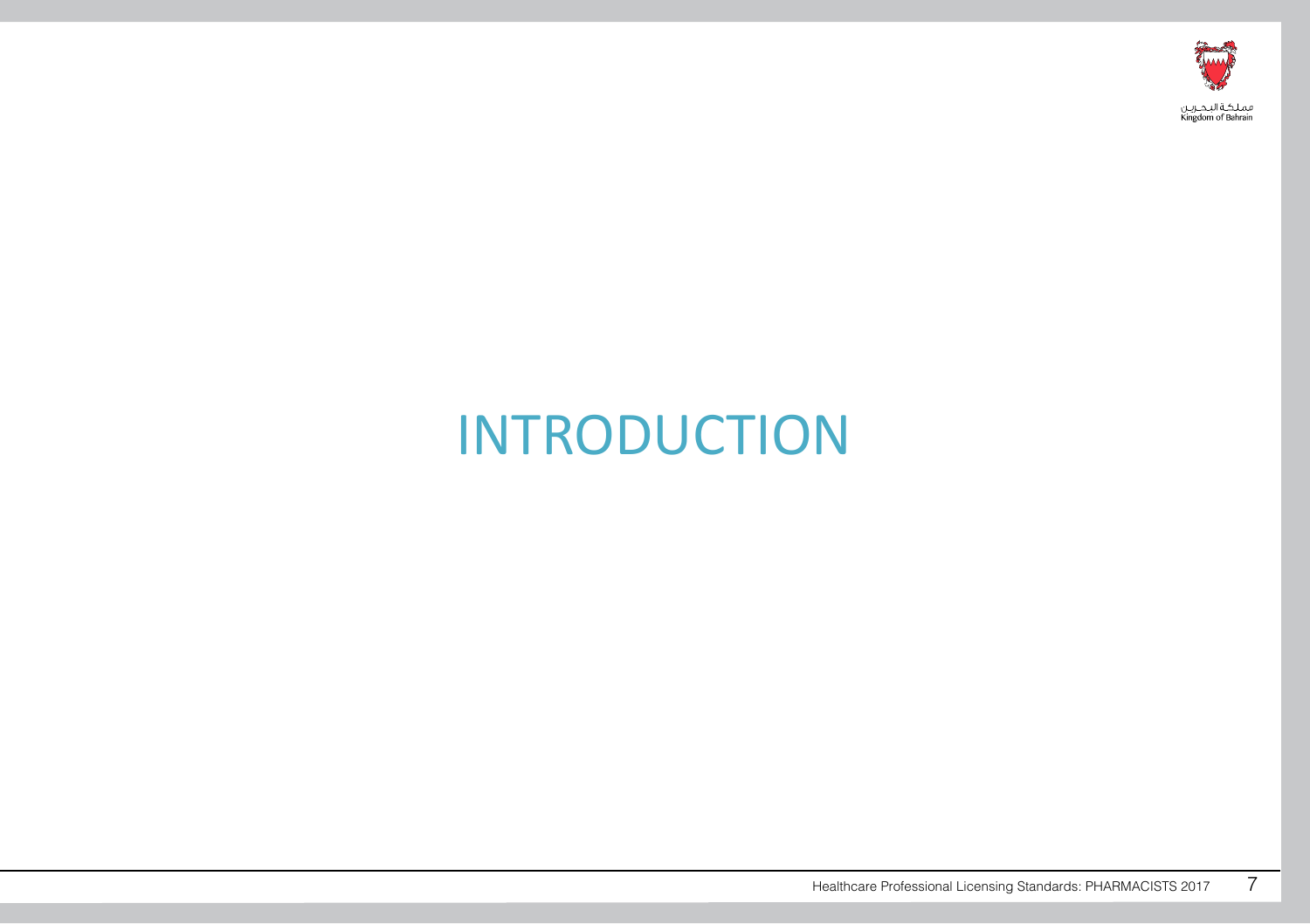

# INTRODUCTION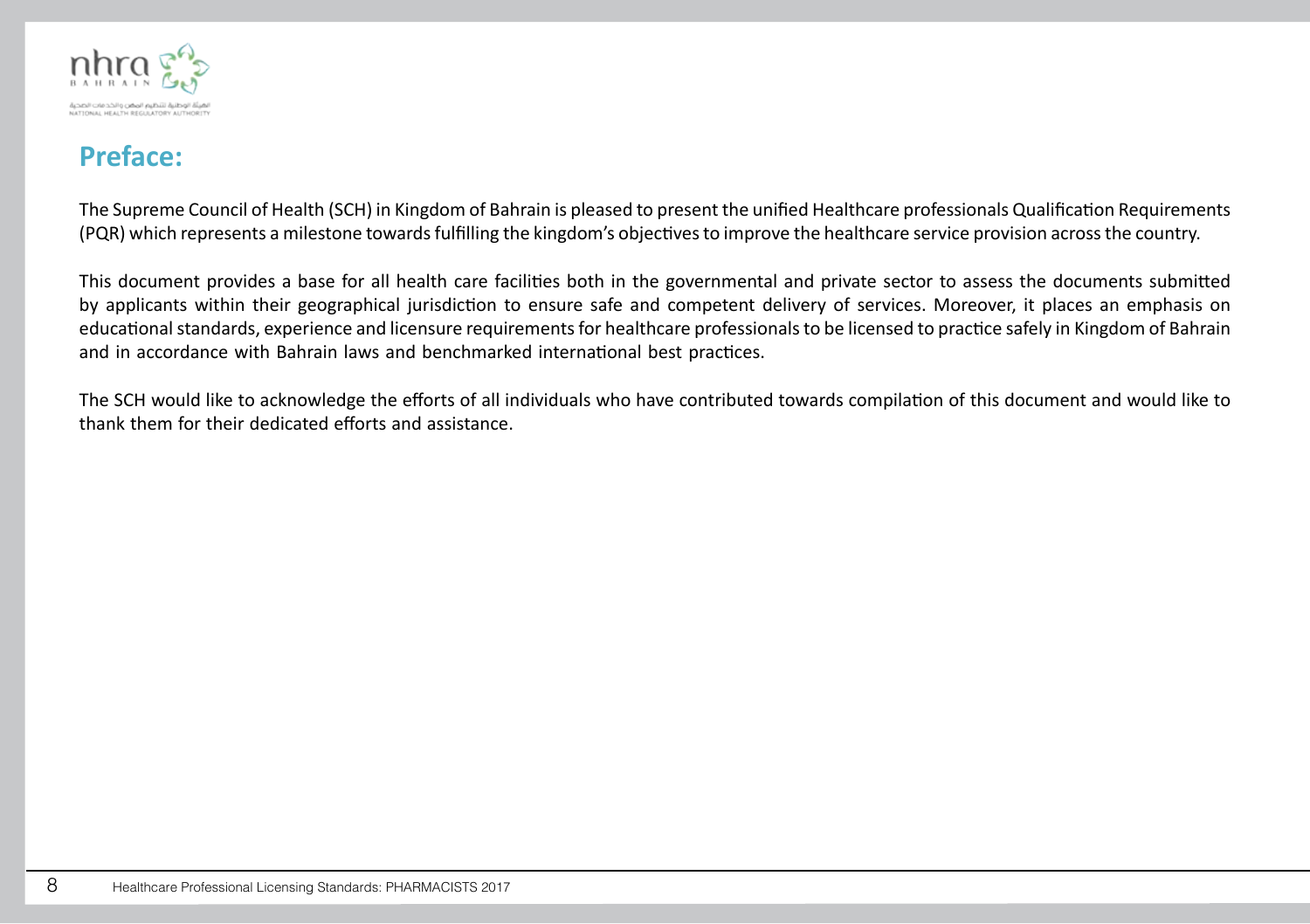

# **Preface:**

The Supreme Council of Health (SCH) in Kingdom of Bahrain is pleased to present the unified Healthcare professionals Qualification Requirements (PQR) which represents a milestone towards fulfilling the kingdom's objectives to improve the healthcare service provision across the country.

This document provides a base for all health care facilities both in the governmental and private sector to assess the documents submitted by applicants within their geographical jurisdiction to ensure safe and competent delivery of services. Moreover, it places an emphasis on educational standards, experience and licensure requirements for healthcare professionals to be licensed to practice safely in Kingdom of Bahrain and in accordance with Bahrain laws and benchmarked international best practices.

The SCH would like to acknowledge the efforts of all individuals who have contributed towards compilation of this document and would like to thank them for their dedicated efforts and assistance.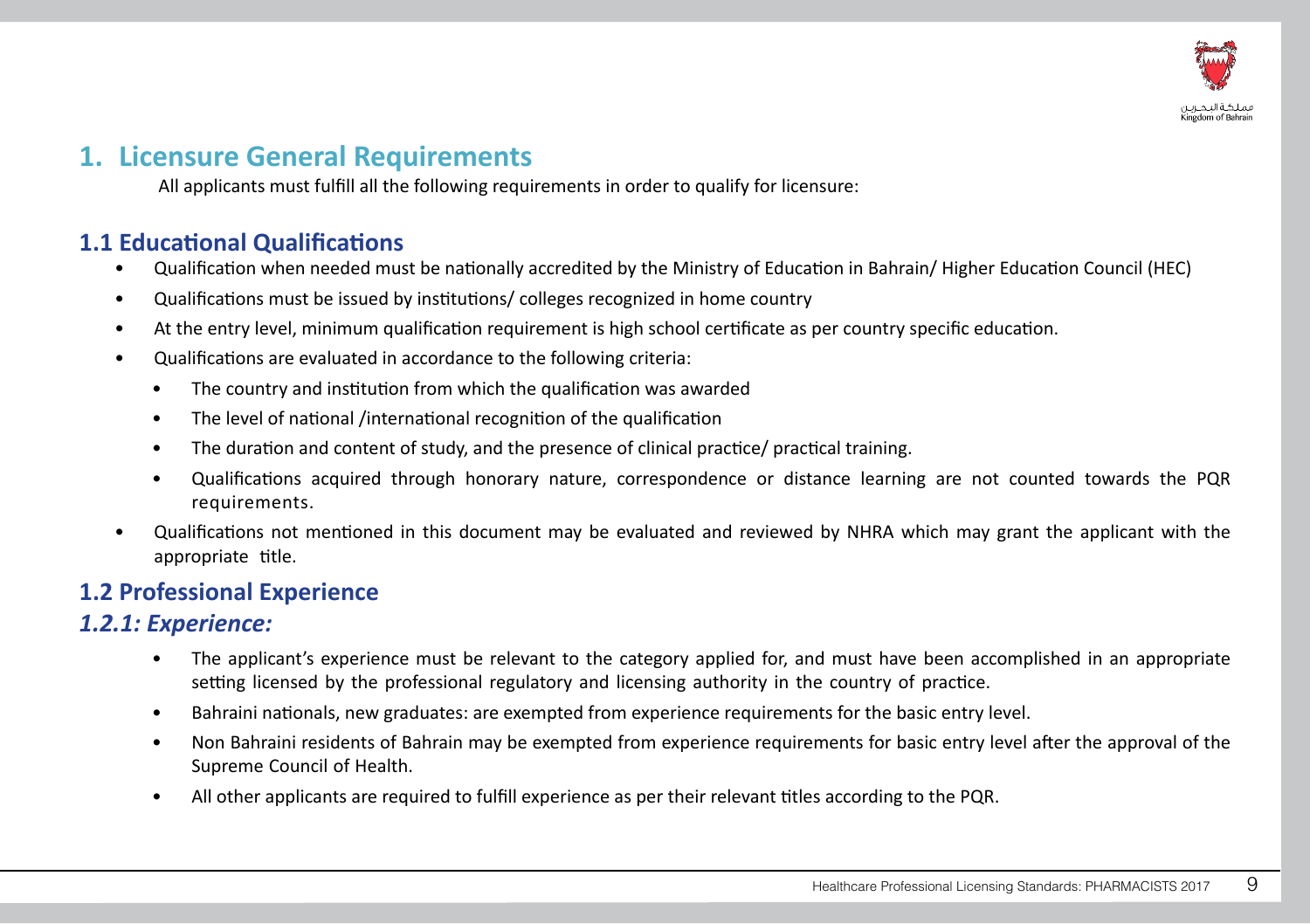

## **11.Licensure General Requirements**

All applicants must fulfill all the following requirements in order to qualify for licensure:

#### **1.1 Educational Qualifications**

- Qualification when needed must be nationally accredited by the Ministry of Education in Bahrain/ Higher Education Council (HEC)
- Qualifications must be issued by institutions/ colleges recognized in home country
- At the entry level, minimum qualification requirement is high school certificate as per country specific education.
- Qualifications are evaluated in accordance to the following criteria:
	- The country and institution from which the qualification was awarded
	- The level of national /international recognition of the qualification
	- The duration and content of study, and the presence of clinical practice/ practical training.
	- Qualifications acquired through honorary nature, correspondence or distance learning are not counted towards the PQR requirements.
- Qualifications not mentioned in this document may be evaluated and reviewed by NHRA which may grant the applicant with the appropriate title.

## **1.2 Professional Experience**

#### *1.2.1: Experience:*

- The applicant's experience must be relevant to the category applied for, and must have been accomplished in an appropriate setting licensed by the professional regulatory and licensing authority in the country of practice.
- Bahraini nationals, new graduates: are exempted from experience requirements for the basic entry level.
- Non Bahraini residents of Bahrain may be exempted from experience requirements for basic entry level after the approval of the Supreme Council of Health.
- All other applicants are required to fulfill experience as per their relevant titles according to the PQR.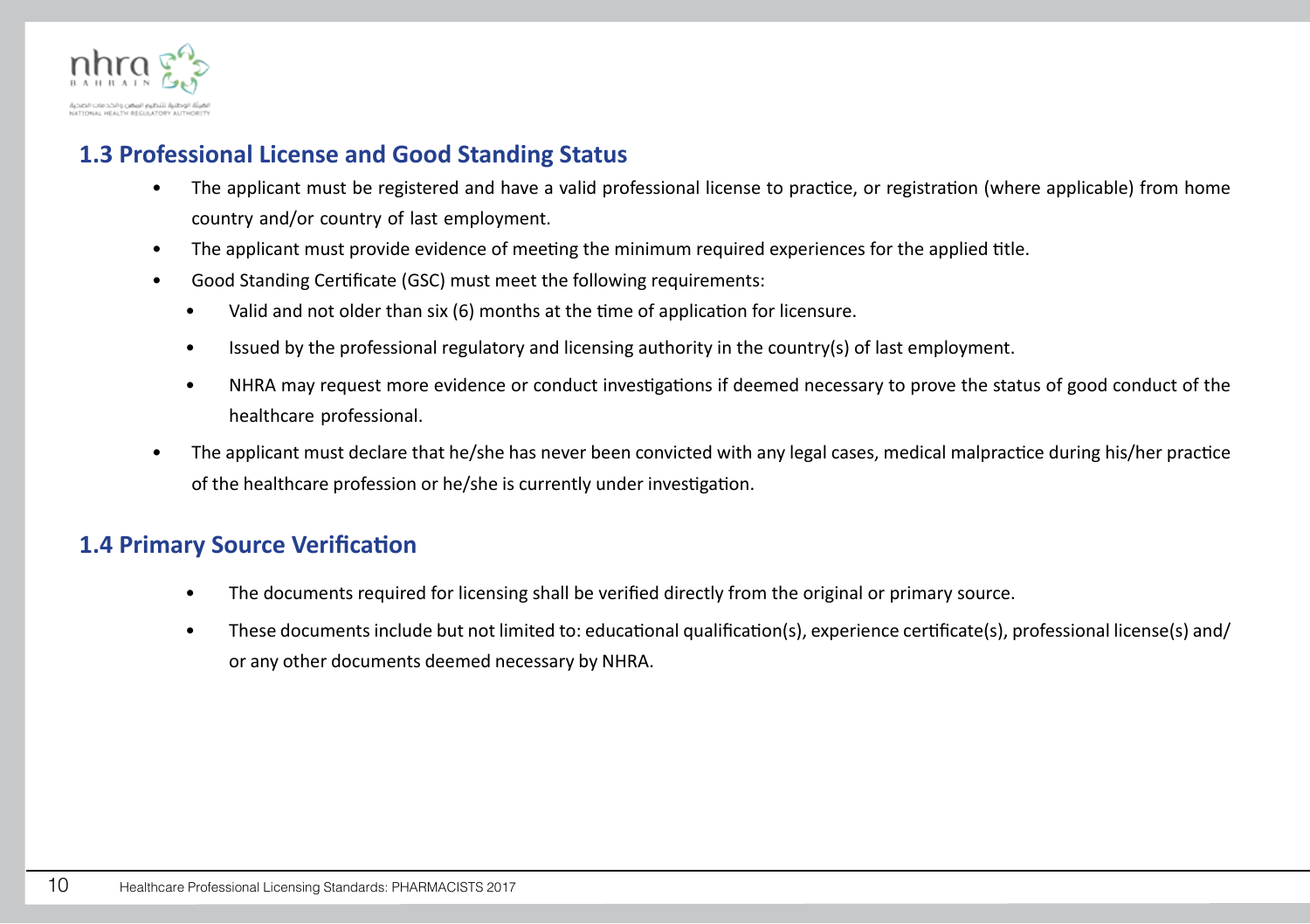

#### **1.3 Professional License and Good Standing Status**

- The applicant must be registered and have a valid professional license to practice, or registration (where applicable) from home country and/or country of last employment.
- The applicant must provide evidence of meeting the minimum required experiences for the applied title.
- Good Standing Certificate (GSC) must meet the following requirements:
	- Valid and not older than six (6) months at the time of application for licensure.
	- Issued by the professional regulatory and licensing authority in the country(s) of last employment.
	- NHRA may request more evidence or conduct investigations if deemed necessary to prove the status of good conduct of the healthcare professional.
- The applicant must declare that he/she has never been convicted with any legal cases, medical malpractice during his/her practice of the healthcare profession or he/she is currently under investigation.

#### **1.4 Primary Source Verification**

- The documents required for licensing shall be verified directly from the original or primary source.
- These documents include but not limited to: educational qualification(s), experience certificate(s), professional license(s) and/ or any other documents deemed necessary by NHRA.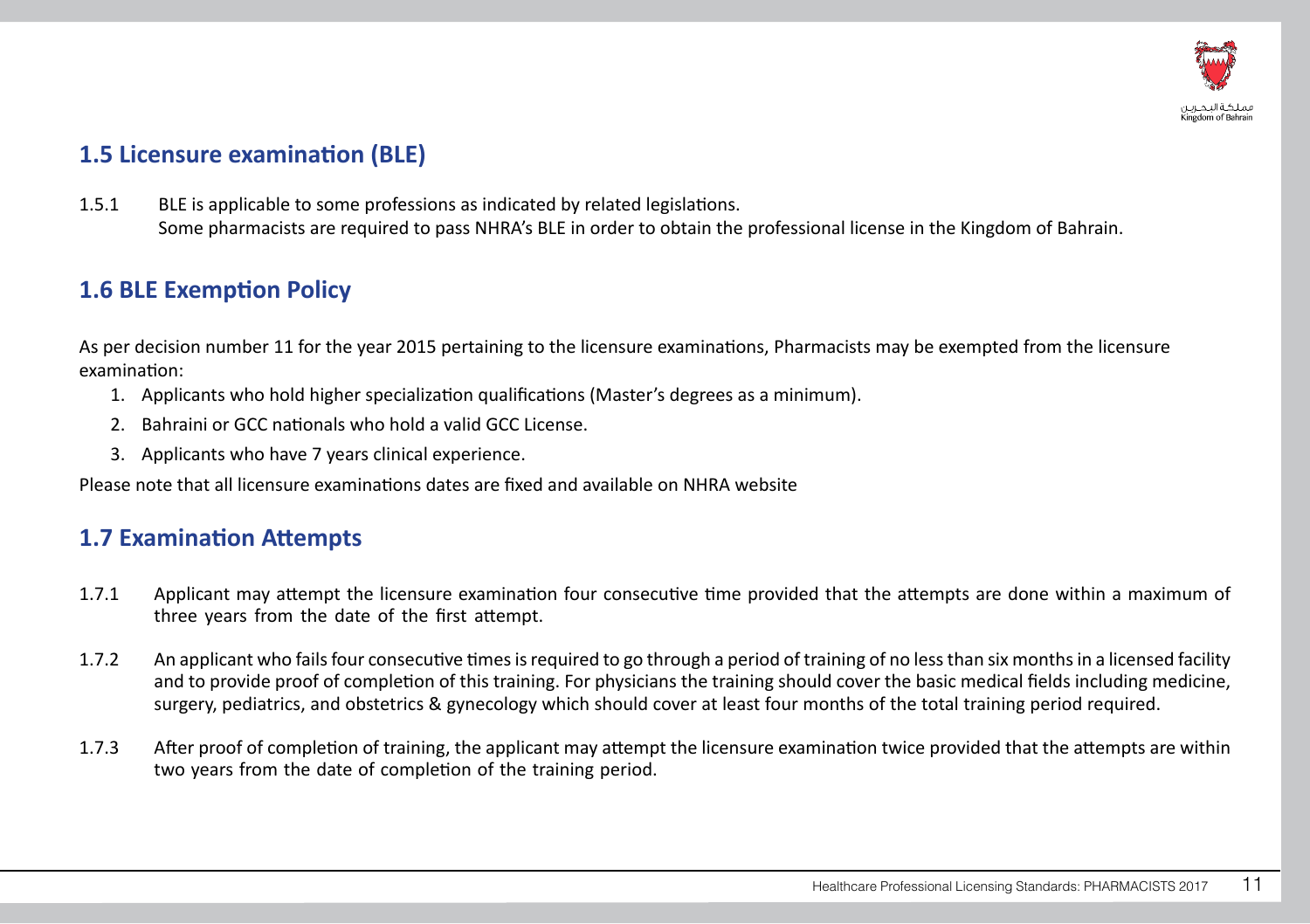

### **1.5 Licensure examination (BLE)**

1.5.1 BLE is applicable to some professions as indicated by related legislations. Some pharmacists are required to pass NHRA's BLE in order to obtain the professional license in the Kingdom of Bahrain.

#### **1.6 BLE Exemption Policy**

As per decision number 11 for the year 2015 pertaining to the licensure examinations, Pharmacists may be exempted from the licensure examination:

- 1. Applicants who hold higher specialization qualifications (Master's degrees as a minimum).
- 2. Bahraini or GCC nationals who hold a valid GCC License.
- 3. Applicants who have 7 years clinical experience.

Please note that all licensure examinations dates are fixed and available on NHRA website

#### **1.7 Examination Attempts**

- 1.7.1 Applicant may attempt the licensure examination four consecutive time provided that the attempts are done within a maximum of three years from the date of the first attempt.
- 1.7.2 An applicant who fails four consecutive times is required to go through a period of training of no less than six months in a licensed facility and to provide proof of completion of this training. For physicians the training should cover the basic medical fields including medicine, surgery, pediatrics, and obstetrics & gynecology which should cover at least four months of the total training period required.
- 1.7.3 After proof of completion of training, the applicant may attempt the licensure examination twice provided that the attempts are within two years from the date of completion of the training period.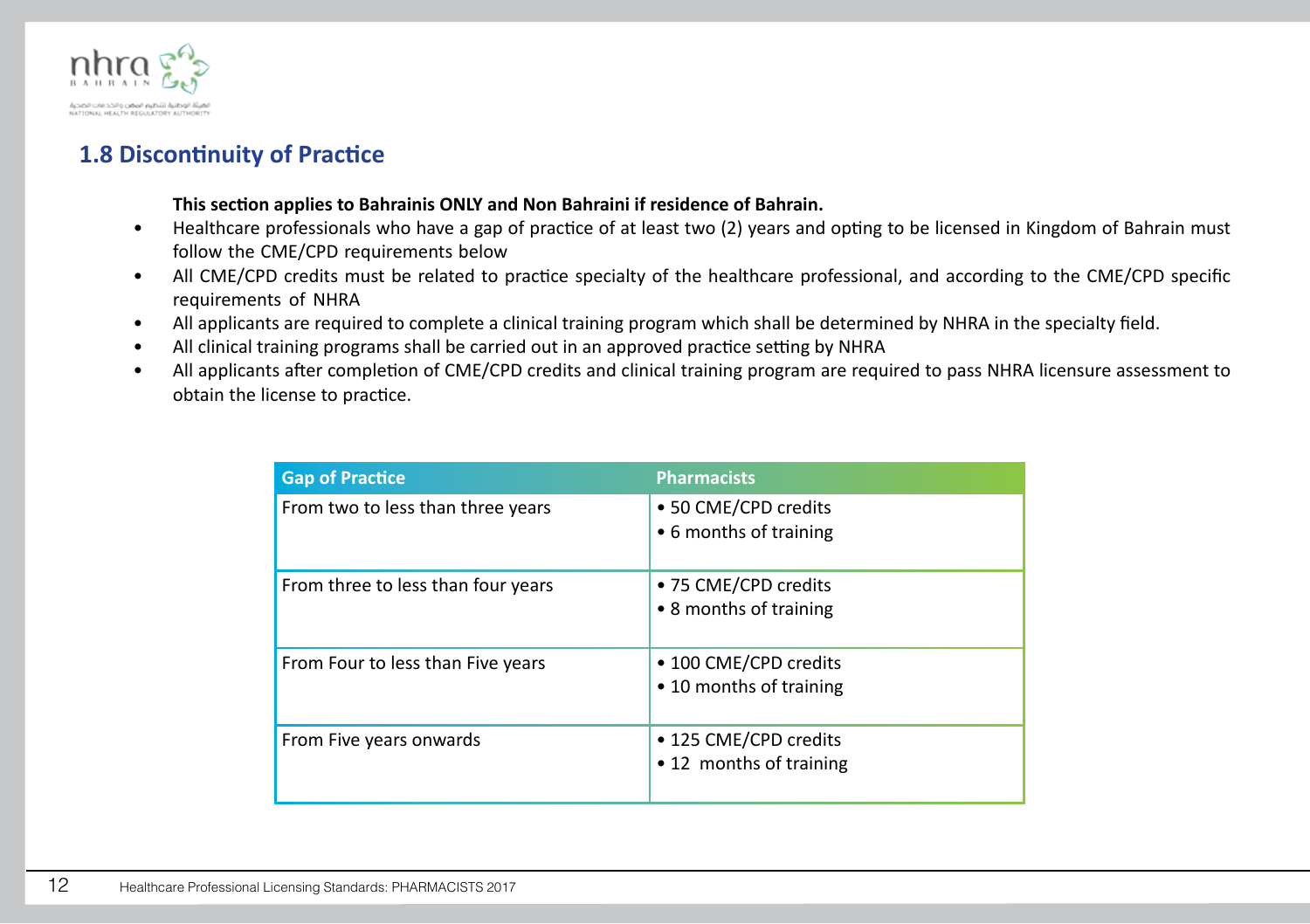

### **1.8 Discontinuity of Practice**

#### **This section applies to Bahrainis ONLY and Non Bahraini if residence of Bahrain.**

- Healthcare professionals who have a gap of practice of at least two (2) years and opting to be licensed in Kingdom of Bahrain must follow the CME/CPD requirements below
- All CME/CPD credits must be related to practice specialty of the healthcare professional, and according to the CME/CPD specific requirements of NHRA
- All applicants are required to complete a clinical training program which shall be determined by NHRA in the specialty field.
- All clinical training programs shall be carried out in an approved practice setting by NHRA
- All applicants after completion of CME/CPD credits and clinical training program are required to pass NHRA licensure assessment to obtain the license to practice.

| <b>Gap of Practice</b>             | <b>Pharmacists</b>                               |
|------------------------------------|--------------------------------------------------|
| From two to less than three years  | • 50 CME/CPD credits<br>• 6 months of training   |
| From three to less than four years | • 75 CME/CPD credits<br>• 8 months of training   |
| From Four to less than Five years  | • 100 CME/CPD credits<br>• 10 months of training |
| From Five years onwards            | • 125 CME/CPD credits<br>• 12 months of training |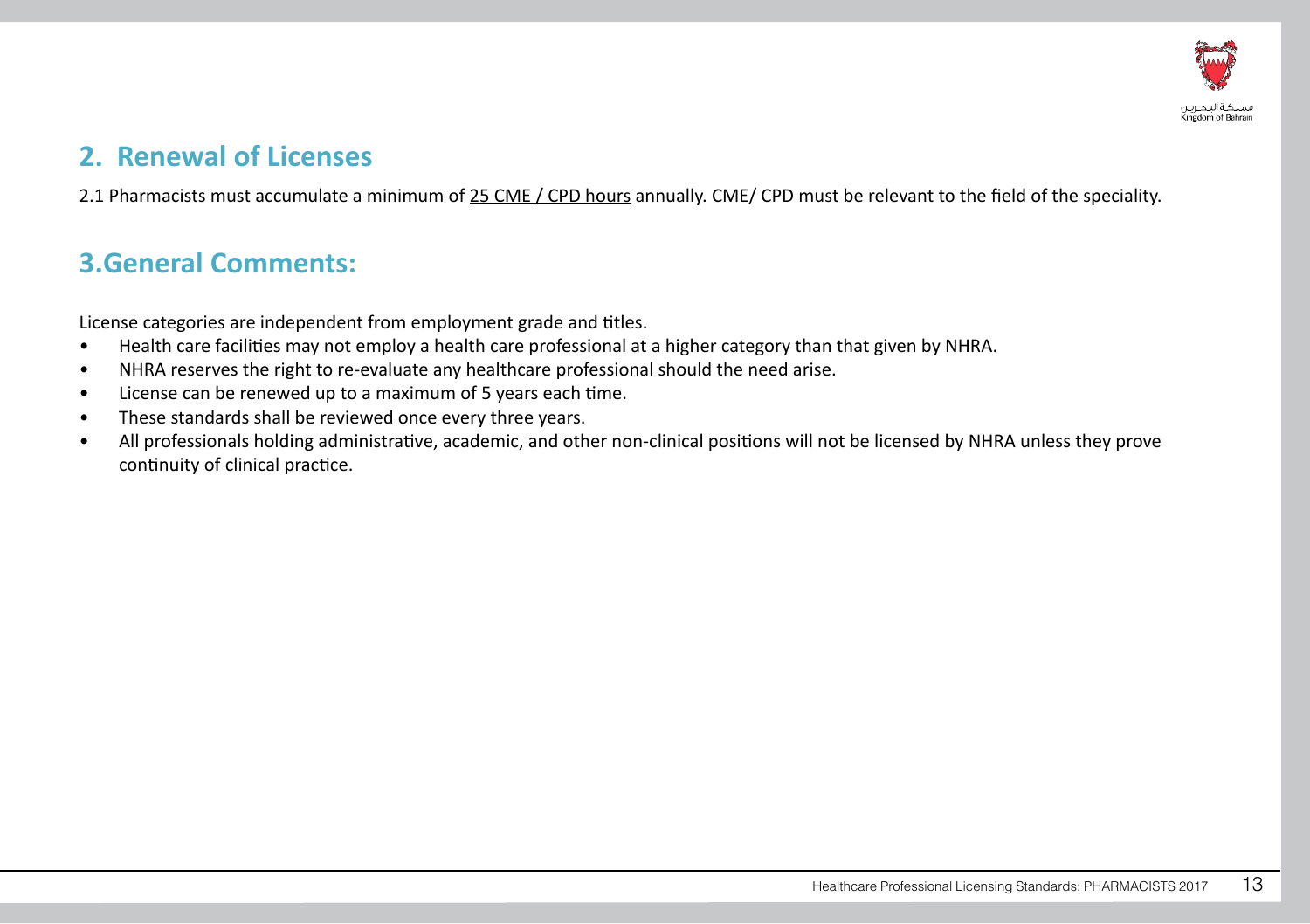

## **2. Renewal of Licenses**

2.1 Pharmacists must accumulate a minimum of 25 CME / CPD hours annually. CME/ CPD must be relevant to the field of the speciality.

## **3.General Comments:**

License categories are independent from employment grade and titles.

- Health care facilities may not employ a health care professional at a higher category than that given by NHRA.
- NHRA reserves the right to re-evaluate any healthcare professional should the need arise.
- License can be renewed up to a maximum of 5 years each time.
- These standards shall be reviewed once every three years.
- All professionals holding administrative, academic, and other non-clinical positions will not be licensed by NHRA unless they prove continuity of clinical practice.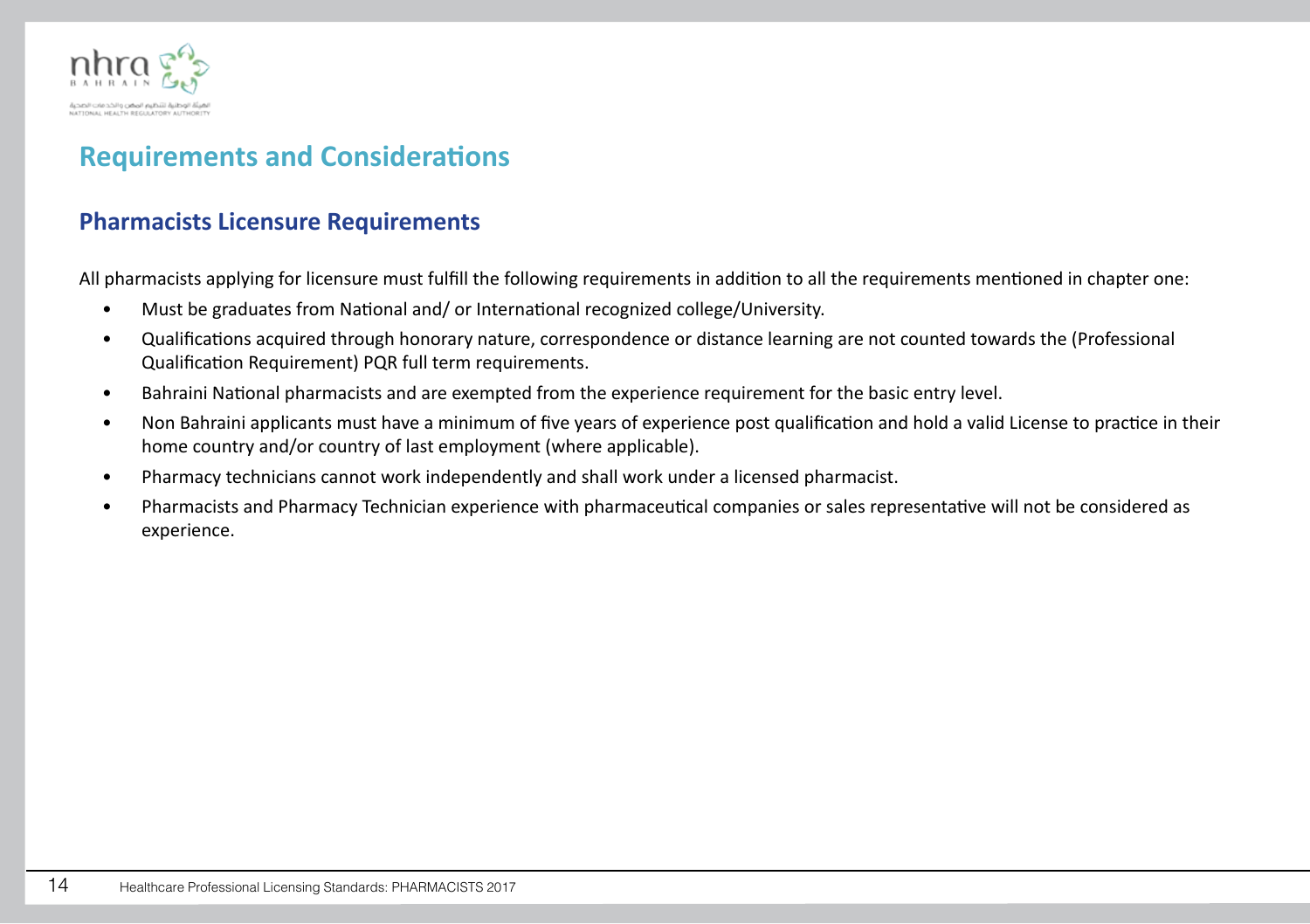

# **Requirements and Considerations**

#### **Pharmacists Licensure Requirements**

All pharmacists applying for licensure must fulfill the following requirements in addition to all the requirements mentioned in chapter one:

- Must be graduates from National and/ or International recognized college/University.
- Qualifications acquired through honorary nature, correspondence or distance learning are not counted towards the (Professional Qualification Requirement) PQR full term requirements.
- Bahraini National pharmacists and are exempted from the experience requirement for the basic entry level.
- Non Bahraini applicants must have a minimum of five years of experience post qualification and hold a valid License to practice in their home country and/or country of last employment (where applicable).
- Pharmacy technicians cannot work independently and shall work under a licensed pharmacist.
- Pharmacists and Pharmacy Technician experience with pharmaceutical companies or sales representative will not be considered as experience.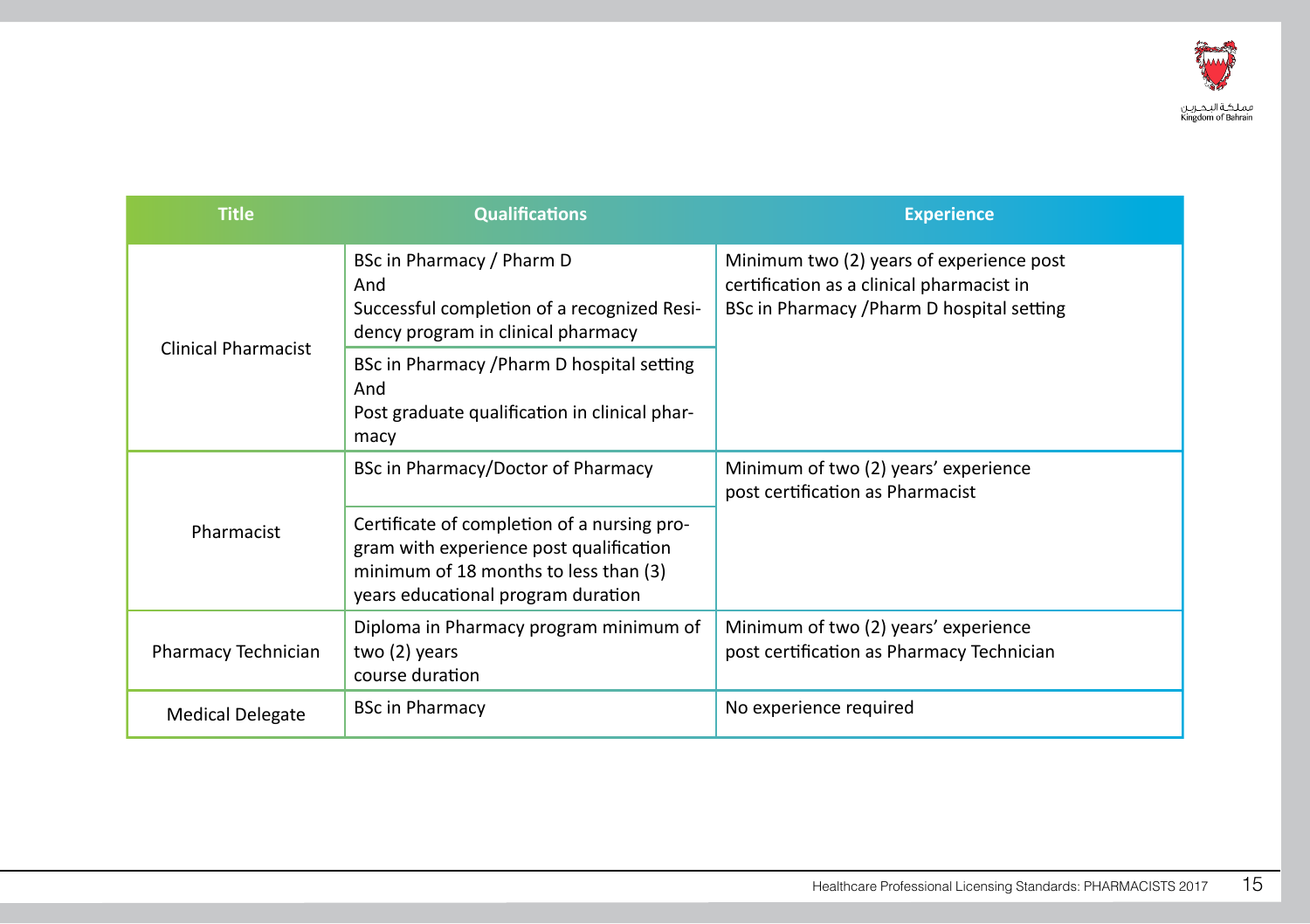

| <b>Title</b>               | <b>Qualifications</b>                                                                                                                                                 | <b>Experience</b>                                                                                                                   |
|----------------------------|-----------------------------------------------------------------------------------------------------------------------------------------------------------------------|-------------------------------------------------------------------------------------------------------------------------------------|
| <b>Clinical Pharmacist</b> | BSc in Pharmacy / Pharm D<br>And<br>Successful completion of a recognized Resi-<br>dency program in clinical pharmacy                                                 | Minimum two (2) years of experience post<br>certification as a clinical pharmacist in<br>BSc in Pharmacy / Pharm D hospital setting |
|                            | BSc in Pharmacy / Pharm D hospital setting<br>And<br>Post graduate qualification in clinical phar-<br>macy                                                            |                                                                                                                                     |
| Pharmacist                 | BSc in Pharmacy/Doctor of Pharmacy                                                                                                                                    | Minimum of two (2) years' experience<br>post certification as Pharmacist                                                            |
|                            | Certificate of completion of a nursing pro-<br>gram with experience post qualification<br>minimum of 18 months to less than (3)<br>years educational program duration |                                                                                                                                     |
| Pharmacy Technician        | Diploma in Pharmacy program minimum of<br>two (2) years<br>course duration                                                                                            | Minimum of two (2) years' experience<br>post certification as Pharmacy Technician                                                   |
| <b>Medical Delegate</b>    | <b>BSc in Pharmacy</b>                                                                                                                                                | No experience required                                                                                                              |